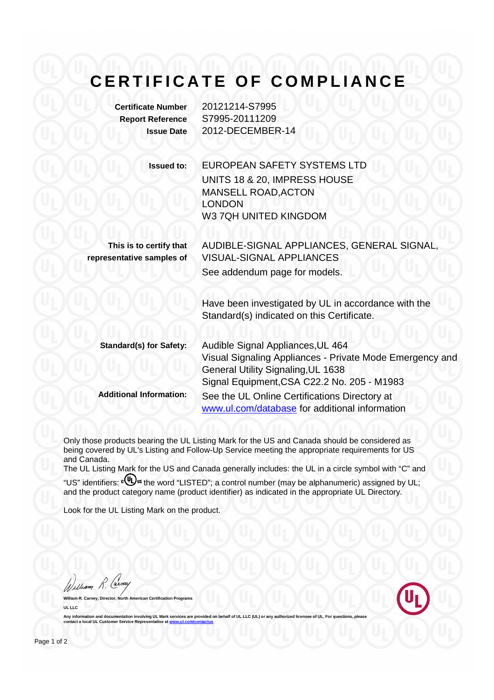## **CERTIFICATE OF COMPLIANCE**

| <b>Certificate Number</b><br><b>Report Reference</b><br><b>Issue Date</b> | 20121214-S7995<br>S7995-20111209<br>2012-DECEMBER-14                                                                                                                                      |
|---------------------------------------------------------------------------|-------------------------------------------------------------------------------------------------------------------------------------------------------------------------------------------|
| <b>Issued to:</b>                                                         | <b>EUROPEAN SAFETY SYSTEMS LTD</b><br>UNITS 18 & 20, IMPRESS HOUSE<br>MANSELL ROAD, ACTON<br><b>LONDON</b><br>W3 7QH UNITED KINGDOM                                                       |
| This is to certify that<br>representative samples of                      | AUDIBLE-SIGNAL APPLIANCES, GENERAL SIGNAL,<br><b>VISUAL-SIGNAL APPLIANCES</b><br>See addendum page for models.                                                                            |
|                                                                           | Have been investigated by UL in accordance with the<br>Standard(s) indicated on this Certificate.                                                                                         |
| <b>Standard(s) for Safety:</b>                                            | Audible Signal Appliances, UL 464<br>Visual Signaling Appliances - Private Mode Emergency and<br><b>General Utility Signaling, UL 1638</b><br>Signal Equipment, CSA C22.2 No. 205 - M1983 |
| <b>Additional Information:</b>                                            | See the UL Online Certifications Directory at<br>www.ul.com/database for additional information                                                                                           |

Only those products bearing the UL Listing Mark for the US and Canada should be considered as being covered by UL's Listing and Follow-Up Service meeting the appropriate requirements for US and Canada.

The UL Listing Mark for the US and Canada generally includes: the UL in a circle symbol with "C" and "US" identifiers: c $\overset{\text{\normalsize{\textbf{(i)}}}}{\text{\normalsize{\textbf{(i)}}}}$  identifiers:  $\overset{\text{\normalsize{\textbf{(i)}}}}{\text{\normalsize{\textbf{(i)}}}}$  identifiers:  $\overset{\text{\normalsize{\textbf{(i)}}}}{\text{\normalsize{\textbf{(i)}}}}$  the word "LISTED"; a control number (may be alphanumeric) assigned by UL;

and the product category name (product identifier) as indicated in the appropriate UL Directory.

Look for the UL Listing Mark on the product.

William R. Carn

**William R. Carney, Director, North American Certification Programs UL LLC**

Any information and documentation involving UL Mark services are provided on behalf of UL LLC (UL) or any authorized licensee of UL. For questions, please<br>contact a local UL Customer Service Representative at <u>www.ul.com/c</u>